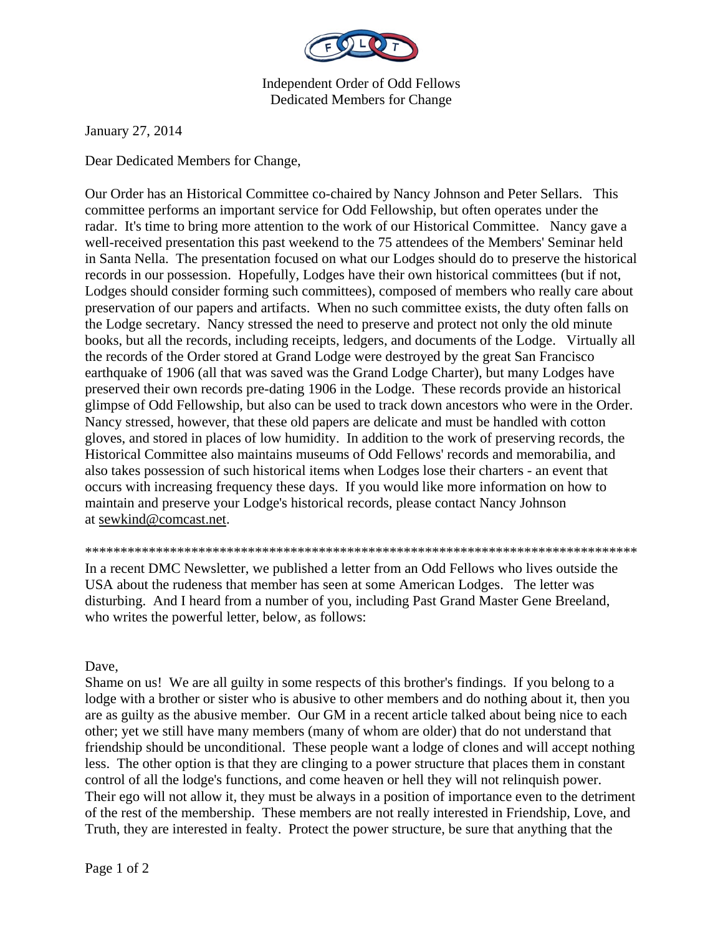

Independent Order of Odd Fellows Dedicated Members for Change

January 27, 2014

Dear Dedicated Members for Change,

Our Order has an Historical Committee co-chaired by Nancy Johnson and Peter Sellars. This committee performs an important service for Odd Fellowship, but often operates under the radar. It's time to bring more attention to the work of our Historical Committee. Nancy gave a well-received presentation this past weekend to the 75 attendees of the Members' Seminar held in Santa Nella. The presentation focused on what our Lodges should do to preserve the historical records in our possession. Hopefully, Lodges have their own historical committees (but if not, Lodges should consider forming such committees), composed of members who really care about preservation of our papers and artifacts. When no such committee exists, the duty often falls on the Lodge secretary. Nancy stressed the need to preserve and protect not only the old minute books, but all the records, including receipts, ledgers, and documents of the Lodge. Virtually all the records of the Order stored at Grand Lodge were destroyed by the great San Francisco earthquake of 1906 (all that was saved was the Grand Lodge Charter), but many Lodges have preserved their own records pre-dating 1906 in the Lodge. These records provide an historical glimpse of Odd Fellowship, but also can be used to track down ancestors who were in the Order. Nancy stressed, however, that these old papers are delicate and must be handled with cotton gloves, and stored in places of low humidity. In addition to the work of preserving records, the Historical Committee also maintains museums of Odd Fellows' records and memorabilia, and also takes possession of such historical items when Lodges lose their charters - an event that occurs with increasing frequency these days. If you would like more information on how to maintain and preserve your Lodge's historical records, please contact Nancy Johnson at sewkind@comcast.net.

\*\*\*\*\*\*\*\*\*\*\*\*\*\*\*\*\*\*\*\*\*\*\*\*\*\*\*\*\*\*\*\*\*\*\*\*\*\*\*\*\*\*\*\*\*\*\*\*\*\*\*\*\*\*\*\*\*\*\*\*\*\*\*\*\*\*\*\*\*\*\*\*\*\*\*\*\*\*

In a recent DMC Newsletter, we published a letter from an Odd Fellows who lives outside the USA about the rudeness that member has seen at some American Lodges. The letter was disturbing. And I heard from a number of you, including Past Grand Master Gene Breeland, who writes the powerful letter, below, as follows:

Dave,

Shame on us! We are all guilty in some respects of this brother's findings. If you belong to a lodge with a brother or sister who is abusive to other members and do nothing about it, then you are as guilty as the abusive member. Our GM in a recent article talked about being nice to each other; yet we still have many members (many of whom are older) that do not understand that friendship should be unconditional. These people want a lodge of clones and will accept nothing less. The other option is that they are clinging to a power structure that places them in constant control of all the lodge's functions, and come heaven or hell they will not relinquish power. Their ego will not allow it, they must be always in a position of importance even to the detriment of the rest of the membership. These members are not really interested in Friendship, Love, and Truth, they are interested in fealty. Protect the power structure, be sure that anything that the